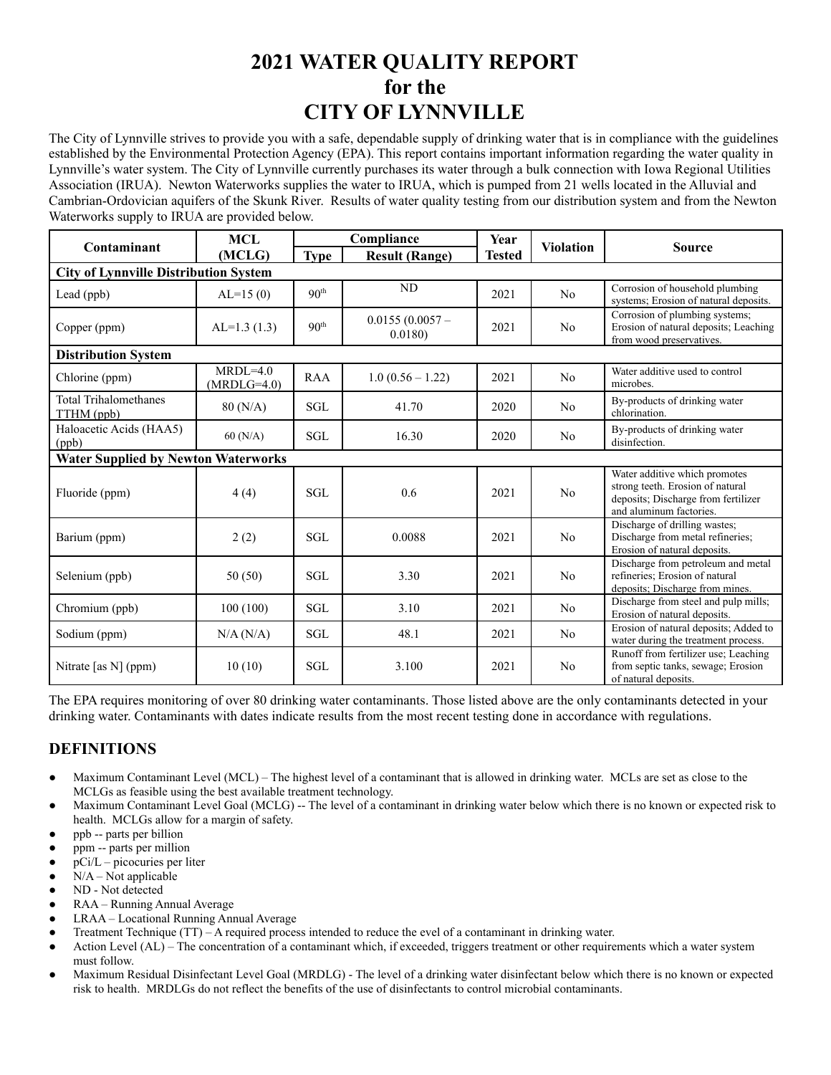# **2021 WATER QUALITY REPORT for the CITY OF LYNNVILLE**

The City of Lynnville strives to provide you with a safe, dependable supply of drinking water that is in compliance with the guidelines established by the Environmental Protection Agency (EPA). This report contains important information regarding the water quality in Lynnville's water system. The City of Lynnville currently purchases its water through a bulk connection with Iowa Regional Utilities Association (IRUA). Newton Waterworks supplies the water to IRUA, which is pumped from 21 wells located in the Alluvial and Cambrian-Ordovician aquifers of the Skunk River. Results of water quality testing from our distribution system and from the Newton Waterworks supply to IRUA are provided below.

| Contaminant                                  | <b>MCL</b>                    | Compliance       |                             | Year          |                  |                                                                                                                                     |
|----------------------------------------------|-------------------------------|------------------|-----------------------------|---------------|------------------|-------------------------------------------------------------------------------------------------------------------------------------|
|                                              | (MCLG)                        | <b>Type</b>      | <b>Result (Range)</b>       | <b>Tested</b> | <b>Violation</b> | <b>Source</b>                                                                                                                       |
| <b>City of Lynnville Distribution System</b> |                               |                  |                             |               |                  |                                                                                                                                     |
| Lead (ppb)                                   | $AL=15(0)$                    | 90 <sup>th</sup> | ND                          | 2021          | No               | Corrosion of household plumbing<br>systems; Erosion of natural deposits.                                                            |
| Copper (ppm)                                 | $AL=1.3(1.3)$                 | 90 <sup>th</sup> | $0.0155(0.0057 -$<br>0.0180 | 2021          | N <sub>0</sub>   | Corrosion of plumbing systems;<br>Erosion of natural deposits; Leaching<br>from wood preservatives.                                 |
| <b>Distribution System</b>                   |                               |                  |                             |               |                  |                                                                                                                                     |
| Chlorine (ppm)                               | $MRDI = 4.0$<br>$(MRDLG=4.0)$ | <b>RAA</b>       | $1.0(0.56 - 1.22)$          | 2021          | No               | Water additive used to control<br>microbes.                                                                                         |
| <b>Total Trihalomethanes</b><br>TTHM (ppb)   | 80 (N/A)                      | <b>SGL</b>       | 41.70                       | 2020          | No               | By-products of drinking water<br>chlorination.                                                                                      |
| Haloacetic Acids (HAA5)<br>(ppb)             | 60(N/A)                       | <b>SGL</b>       | 16.30                       | 2020          | N <sub>0</sub>   | By-products of drinking water<br>disinfection.                                                                                      |
| <b>Water Supplied by Newton Waterworks</b>   |                               |                  |                             |               |                  |                                                                                                                                     |
| Fluoride (ppm)                               | 4(4)                          | <b>SGL</b>       | 0.6                         | 2021          | No               | Water additive which promotes<br>strong teeth. Erosion of natural<br>deposits; Discharge from fertilizer<br>and aluminum factories. |
| Barium (ppm)                                 | 2(2)                          | <b>SGL</b>       | 0.0088                      | 2021          | No               | Discharge of drilling wastes;<br>Discharge from metal refineries;<br>Erosion of natural deposits.                                   |
| Selenium (ppb)                               | 50 (50)                       | <b>SGL</b>       | 3.30                        | 2021          | No               | Discharge from petroleum and metal<br>refineries; Erosion of natural<br>deposits; Discharge from mines.                             |
| Chromium (ppb)                               | 100(100)                      | SGL              | 3.10                        | 2021          | No               | Discharge from steel and pulp mills;<br>Erosion of natural deposits.                                                                |
| Sodium (ppm)                                 | N/A (N/A)                     | SGL              | 48.1                        | 2021          | No               | Erosion of natural deposits; Added to<br>water during the treatment process.                                                        |
| Nitrate [as N] (ppm)                         | 10(10)                        | <b>SGL</b>       | 3.100                       | 2021          | N <sub>0</sub>   | Runoff from fertilizer use; Leaching<br>from septic tanks, sewage; Erosion<br>of natural deposits.                                  |

The EPA requires monitoring of over 80 drinking water contaminants. Those listed above are the only contaminants detected in your drinking water. Contaminants with dates indicate results from the most recent testing done in accordance with regulations.

## **DEFINITIONS**

- Maximum Contaminant Level (MCL) The highest level of a contaminant that is allowed in drinking water. MCLs are set as close to the MCLGs as feasible using the best available treatment technology.
- Maximum Contaminant Level Goal (MCLG) -- The level of a contaminant in drinking water below which there is no known or expected risk to health. MCLGs allow for a margin of safety.
- ppb -- parts per billion
- ppm -- parts per million
- $pCi/L$  picocuries per liter
- $N/A Not$ applicable
- ND Not detected
- RAA Running Annual Average
- LRAA Locational Running Annual Average
- Treatment Technique (TT) A required process intended to reduce the evel of a contaminant in drinking water.
- Action Level (AL) The concentration of a contaminant which, if exceeded, triggers treatment or other requirements which a water system must follow.
- Maximum Residual Disinfectant Level Goal (MRDLG) The level of a drinking water disinfectant below which there is no known or expected risk to health. MRDLGs do not reflect the benefits of the use of disinfectants to control microbial contaminants.